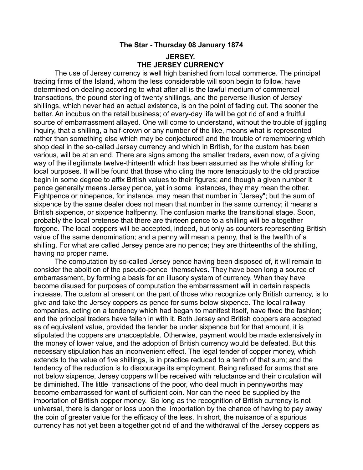## **The Star - Thursday 08 January 1874**

## **JERSEY. THE JERSEY CURRENCY**

The use of Jersey currency is well high banished from local commerce. The principal trading firms of the Island, whom the less considerable will soon begin to follow, have determined on dealing according to what after all is the lawful medium of commercial transactions, the pound sterling of twenty shillings, and the perverse illusion of Jersey shillings, which never had an actual existence, is on the point of fading out. The sooner the better. An incubus on the retail business; of every-day life will be got rid of and a fruitful source of embarrassment allayed. One will come to understand, without the trouble of jiggling inquiry, that a shilling, a half-crown or any number of the like, means what is represented rather than something else which may be conjectured! and the trouble of remembering which shop deal in the so-called Jersey currency and which in British, for the custom has been various, will be at an end. There are signs among the smaller traders, even now, of a giving way of the illegitimate twelve-thirteenth which has been assumed as the whole shilling for local purposes. It will be found that those who cling the more tenaciously to the old practice begin in some degree to affix British values to their figures; and though a given number it pence generally means Jersey pence, yet in some instances, they may mean the other. Eightpence or ninepence, for instance, may mean that number in "Jersey"; but the sum of sixpence by the same dealer does not mean that number in the same currency; it means a British sixpence, or sixpence halfpenny. The confusion marks the transitional stage. Soon, probably the local pretense that there are thirteen pence to a shilling will be altogether forgone. The local coppers will be accepted, indeed, but only as counters representing British value of the same denomination; and a penny will mean a penny, that is the twelfth of a shilling. For what are called Jersey pence are no pence; they are thirteenths of the shilling, having no proper name.

The computation by so-called Jersey pence having been disposed of, it will remain to consider the abolition of the pseudo-pence themselves. They have been long a source of embarrassment, by forming a basis for an illusory system of currency. When they have become disused for purposes of computation the embarrassment will in certain respects increase. The custom at present on the part of those who recognize only British currency, is to give and take the Jersey coppers as pence for sums below sixpence. The local railway companies, acting on a tendency which had began to manifest itself, have fixed the fashion; and the principal traders have fallen in with it. Both Jersey and British coppers are accepted as of equivalent value, provided the tender be under sixpence but for that amount, it is stipulated the coppers are unacceptable. Otherwise, payment would be made extensively in the money of lower value, and the adoption of British currency would be defeated. But this necessary stipulation has an inconvenient effect. The legal tender of copper money, which extends to the value of five shillings, is in practice reduced to a tenth of that sum; and the tendency of the reduction is to discourage its employment. Being refused for sums that are not below sixpence, Jersey coppers will be received with reluctance and their circulation will be diminished. The little transactions of the poor, who deal much in pennyworths may become embarrassed for want of sufficient coin. Nor can the need be supplied by the importation of British copper money. So long as the recognition of British currency is not universal, there is danger or loss upon the importation by the chance of having to pay away the coin of greater value for the efficacy of the less. In short, the nuisance of a spurious currency has not yet been altogether got rid of and the withdrawal of the Jersey coppers as